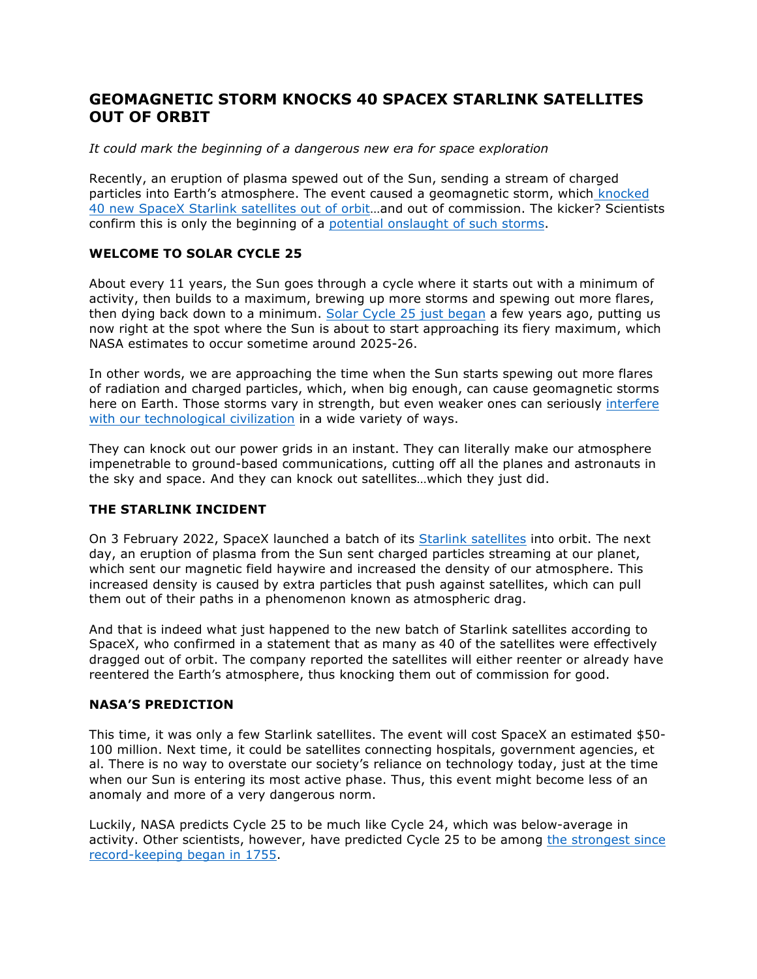# **GEOMAGNETIC STORM KNOCKS 40 SPACEX STARLINK SATELLITES OUT OF ORBIT**

## *It could mark the beginning of a dangerous new era for space exploration*

Recently, an eruption of plasma spewed out of the Sun, sending a stream of charged particles into Earth's atmosphere. The event caused a geomagnetic storm, which knocked 40 new SpaceX Starlink satellites out of orbit…and out of commission. The kicker? Scientists confirm this is only the beginning of a potential onslaught of such storms.

## **WELCOME TO SOLAR CYCLE 25**

About every 11 years, the Sun goes through a cycle where it starts out with a minimum of activity, then builds to a maximum, brewing up more storms and spewing out more flares, then dying back down to a minimum. Solar Cycle 25 just began a few years ago, putting us now right at the spot where the Sun is about to start approaching its fiery maximum, which NASA estimates to occur sometime around 2025-26.

In other words, we are approaching the time when the Sun starts spewing out more flares of radiation and charged particles, which, when big enough, can cause geomagnetic storms here on Earth. Those storms vary in strength, but even weaker ones can seriously interfere with our technological civilization in a wide variety of ways.

They can knock out our power grids in an instant. They can literally make our atmosphere impenetrable to ground-based communications, cutting off all the planes and astronauts in the sky and space. And they can knock out satellites…which they just did.

## **THE STARLINK INCIDENT**

On 3 February 2022, SpaceX launched a batch of its Starlink satellites into orbit. The next day, an eruption of plasma from the Sun sent charged particles streaming at our planet, which sent our magnetic field haywire and increased the density of our atmosphere. This increased density is caused by extra particles that push against satellites, which can pull them out of their paths in a phenomenon known as atmospheric drag.

And that is indeed what just happened to the new batch of Starlink satellites according to SpaceX, who confirmed in a statement that as many as 40 of the satellites were effectively dragged out of orbit. The company reported the satellites will either reenter or already have reentered the Earth's atmosphere, thus knocking them out of commission for good.

## **NASA'S PREDICTION**

This time, it was only a few Starlink satellites. The event will cost SpaceX an estimated \$50- 100 million. Next time, it could be satellites connecting hospitals, government agencies, et al. There is no way to overstate our society's reliance on technology today, just at the time when our Sun is entering its most active phase. Thus, this event might become less of an anomaly and more of a very dangerous norm.

Luckily, NASA predicts Cycle 25 to be much like Cycle 24, which was below-average in activity. Other scientists, however, have predicted Cycle 25 to be among the strongest since record-keeping began in 1755.